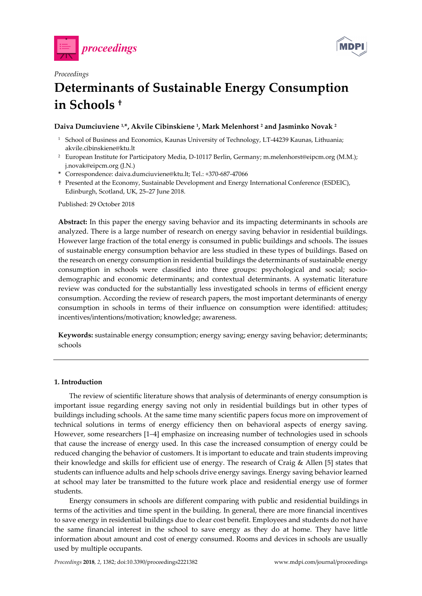

*Proceedings* 



# **Determinants of Sustainable Energy Consumption in Schools †**

# **Daiva Dumciuviene 1,\*, Akvile Cibinskiene 1, Mark Melenhorst 2 and Jasminko Novak 2**

- <sup>1</sup> School of Business and Economics, Kaunas University of Technology, LT-44239 Kaunas, Lithuania; akvile.cibinskiene@ktu.lt
- <sup>2</sup> European Institute for Participatory Media, D-10117 Berlin, Germany; m.melenhorst@eipcm.org (M.M.); j.novak@eipcm.org (J.N.)
- **\*** Correspondence: daiva.dumciuviene@ktu.lt; Tel.: +370-687-47066
- † Presented at the Economy, Sustainable Development and Energy International Conference (ESDEIC), Edinburgh, Scotland, UK, 25–27 June 2018.

Published: 29 October 2018

**Abstract:** In this paper the energy saving behavior and its impacting determinants in schools are analyzed. There is a large number of research on energy saving behavior in residential buildings. However large fraction of the total energy is consumed in public buildings and schools. The issues of sustainable energy consumption behavior are less studied in these types of buildings. Based on the research on energy consumption in residential buildings the determinants of sustainable energy consumption in schools were classified into three groups: psychological and social; sociodemographic and economic determinants; and contextual determinants. A systematic literature review was conducted for the substantially less investigated schools in terms of efficient energy consumption. According the review of research papers, the most important determinants of energy consumption in schools in terms of their influence on consumption were identified: attitudes; incentives/intentions/motivation; knowledge; awareness.

**Keywords:** sustainable energy consumption; energy saving; energy saving behavior; determinants; schools

## **1. Introduction**

The review of scientific literature shows that analysis of determinants of energy consumption is important issue regarding energy saving not only in residential buildings but in other types of buildings including schools. At the same time many scientific papers focus more on improvement of technical solutions in terms of energy efficiency then on behavioral aspects of energy saving. However, some researchers [1–4] emphasize on increasing number of technologies used in schools that cause the increase of energy used. In this case the increased consumption of energy could be reduced changing the behavior of customers. It is important to educate and train students improving their knowledge and skills for efficient use of energy. The research of Craig & Allen [5] states that students can influence adults and help schools drive energy savings. Energy saving behavior learned at school may later be transmitted to the future work place and residential energy use of former students.

Energy consumers in schools are different comparing with public and residential buildings in terms of the activities and time spent in the building. In general, there are more financial incentives to save energy in residential buildings due to clear cost benefit. Employees and students do not have the same financial interest in the school to save energy as they do at home. They have little information about amount and cost of energy consumed. Rooms and devices in schools are usually used by multiple occupants.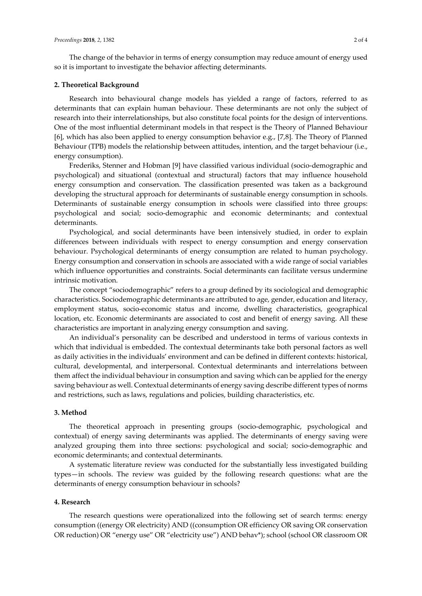The change of the behavior in terms of energy consumption may reduce amount of energy used so it is important to investigate the behavior affecting determinants.

## **2. Theoretical Background**

Research into behavioural change models has yielded a range of factors, referred to as determinants that can explain human behaviour. These determinants are not only the subject of research into their interrelationships, but also constitute focal points for the design of interventions. One of the most influential determinant models in that respect is the Theory of Planned Behaviour [6], which has also been applied to energy consumption behavior e.g., [7,8]. The Theory of Planned Behaviour (TPB) models the relationship between attitudes, intention, and the target behaviour (i.e., energy consumption).

Frederiks, Stenner and Hobman [9] have classified various individual (socio-demographic and psychological) and situational (contextual and structural) factors that may influence household energy consumption and conservation. The classification presented was taken as a background developing the structural approach for determinants of sustainable energy consumption in schools. Determinants of sustainable energy consumption in schools were classified into three groups: psychological and social; socio-demographic and economic determinants; and contextual determinants.

Psychological, and social determinants have been intensively studied, in order to explain differences between individuals with respect to energy consumption and energy conservation behaviour. Psychological determinants of energy consumption are related to human psychology. Energy consumption and conservation in schools are associated with a wide range of social variables which influence opportunities and constraints. Social determinants can facilitate versus undermine intrinsic motivation.

The concept "sociodemographic" refers to a group defined by its sociological and demographic characteristics. Sociodemographic determinants are attributed to age, gender, education and literacy, employment status, socio-economic status and income, dwelling characteristics, geographical location, etc. Economic determinants are associated to cost and benefit of energy saving. All these characteristics are important in analyzing energy consumption and saving.

An individual's personality can be described and understood in terms of various contexts in which that individual is embedded. The contextual determinants take both personal factors as well as daily activities in the individuals' environment and can be defined in different contexts: historical, cultural, developmental, and interpersonal. Contextual determinants and interrelations between them affect the individual behaviour in consumption and saving which can be applied for the energy saving behaviour as well. Contextual determinants of energy saving describe different types of norms and restrictions, such as laws, regulations and policies, building characteristics, etc.

#### **3. Method**

The theoretical approach in presenting groups (socio-demographic, psychological and contextual) of energy saving determinants was applied. The determinants of energy saving were analyzed grouping them into three sections: psychological and social; socio-demographic and economic determinants; and contextual determinants.

A systematic literature review was conducted for the substantially less investigated building types—in schools. The review was guided by the following research questions: what are the determinants of energy consumption behaviour in schools?

## **4. Research**

The research questions were operationalized into the following set of search terms: energy consumption ((energy OR electricity) AND ((consumption OR efficiency OR saving OR conservation OR reduction) OR "energy use" OR "electricity use") AND behav\*); school (school OR classroom OR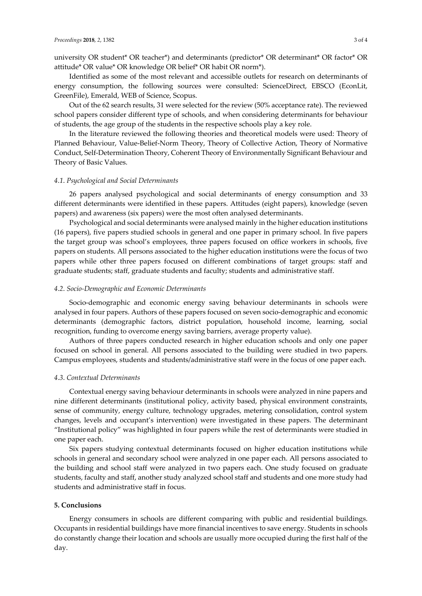university OR student\* OR teacher\*) and determinants (predictor\* OR determinant\* OR factor\* OR attitude\* OR value\* OR knowledge OR belief\* OR habit OR norm\*).

Identified as some of the most relevant and accessible outlets for research on determinants of energy consumption, the following sources were consulted: ScienceDirect, EBSCO (EconLit, GreenFile), Emerald, WEB of Science, Scopus.

Out of the 62 search results, 31 were selected for the review (50% acceptance rate). The reviewed school papers consider different type of schools, and when considering determinants for behaviour of students, the age group of the students in the respective schools play a key role.

In the literature reviewed the following theories and theoretical models were used: Theory of Planned Behaviour, Value-Belief-Norm Theory, Theory of Collective Action, Theory of Normative Conduct, Self-Determination Theory, Coherent Theory of Environmentally Significant Behaviour and Theory of Basic Values.

# *4*.*1*. *Psychological and Social Determinants*

26 papers analysed psychological and social determinants of energy consumption and 33 different determinants were identified in these papers. Attitudes (eight papers), knowledge (seven papers) and awareness (six papers) were the most often analysed determinants.

Psychological and social determinants were analysed mainly in the higher education institutions (16 papers), five papers studied schools in general and one paper in primary school. In five papers the target group was school's employees, three papers focused on office workers in schools, five papers on students. All persons associated to the higher education institutions were the focus of two papers while other three papers focused on different combinations of target groups: staff and graduate students; staff, graduate students and faculty; students and administrative staff.

#### *4*.*2*. *Socio-Demographic and Economic Determinants*

Socio-demographic and economic energy saving behaviour determinants in schools were analysed in four papers. Authors of these papers focused on seven socio-demographic and economic determinants (demographic factors, district population, household income, learning, social recognition, funding to overcome energy saving barriers, average property value).

Authors of three papers conducted research in higher education schools and only one paper focused on school in general. All persons associated to the building were studied in two papers. Campus employees, students and students/administrative staff were in the focus of one paper each.

# *4*.*3*. *Contextual Determinants*

Contextual energy saving behaviour determinants in schools were analyzed in nine papers and nine different determinants (institutional policy, activity based, physical environment constraints, sense of community, energy culture, technology upgrades, metering consolidation, control system changes, levels and occupant's intervention) were investigated in these papers. The determinant "Institutional policy" was highlighted in four papers while the rest of determinants were studied in one paper each.

Six papers studying contextual determinants focused on higher education institutions while schools in general and secondary school were analyzed in one paper each. All persons associated to the building and school staff were analyzed in two papers each. One study focused on graduate students, faculty and staff, another study analyzed school staff and students and one more study had students and administrative staff in focus.

## **5. Conclusions**

Energy consumers in schools are different comparing with public and residential buildings. Occupants in residential buildings have more financial incentives to save energy. Students in schools do constantly change their location and schools are usually more occupied during the first half of the day.